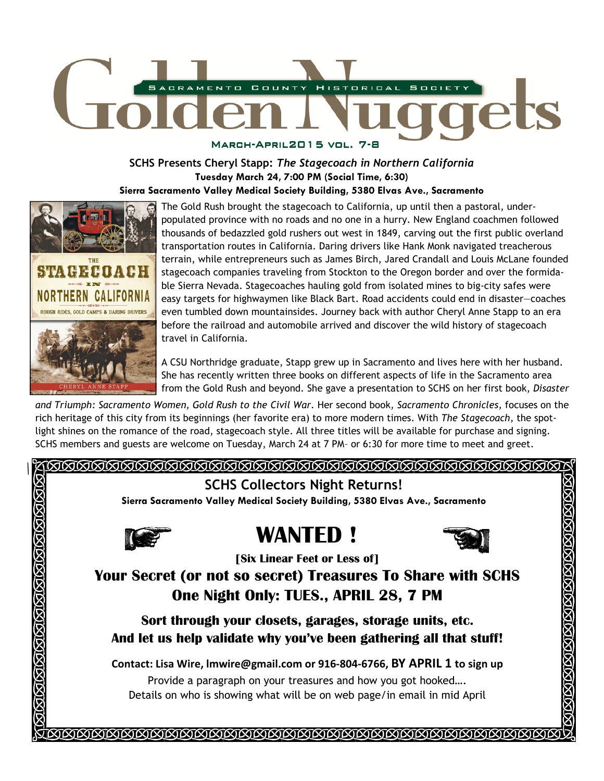

# **SCHS Presents Cheryl Stapp:** *The Stagecoach in Northern California*

**Tuesday March 24, 7:00 PM (Social Time, 6:30)** 

**Sierra Sacramento Valley Medical Society Building, 5380 Elvas Ave., Sacramento** 



The Gold Rush brought the stagecoach to California, up until then a pastoral, underpopulated province with no roads and no one in a hurry. New England coachmen followed thousands of bedazzled gold rushers out west in 1849, carving out the first public overland transportation routes in California. Daring drivers like Hank Monk navigated treacherous terrain, while entrepreneurs such as James Birch, Jared Crandall and Louis McLane founded stagecoach companies traveling from Stockton to the Oregon border and over the formidable Sierra Nevada. Stagecoaches hauling gold from isolated mines to big-city safes were easy targets for highwaymen like Black Bart. Road accidents could end in disaster—coaches even tumbled down mountainsides. Journey back with author Cheryl Anne Stapp to an era before the railroad and automobile arrived and discover the wild history of stagecoach travel in California.

A CSU Northridge graduate, Stapp grew up in Sacramento and lives here with her husband. She has recently written three books on different aspects of life in the Sacramento area from the Gold Rush and beyond. She gave a presentation to SCHS on her first book, *Disaster* 

*and Triumph: Sacramento Women, Gold Rush to the Civil War.* Her second book*, Sacramento Chronicles,* focuses on the rich heritage of this city from its beginnings (her favorite era) to more modern times. With *The Stagecoach,* the spotlight shines on the romance of the road, stagecoach style. All three titles will be available for purchase and signing. SCHS members and guests are welcome on Tuesday, March 24 at 7 PM– or 6:30 for more time to meet and greet.

### 

## **SCHS Collectors Night Returns!**

**Sierra Sacramento Valley Medical Society Building, 5380 Elvas Ave., Sacramento** 



# **WANTED !**



STSTETSTERTSTETSTESTESTEST

 **[Six Linear Feet or Less of]** 

**Your Secret (or not so secret) Treasures To Share with SCHS One Night Only: TUES., APRIL 28, 7 PM** 

**Sort through your closets, garages, storage units, etc. And let us help validate why you've been gathering all that stuff!** 

**Contact: Lisa Wire, lmwire@gmail.com or 916-804-6766, BY APRIL 1 to sign up** 

Provide a paragraph on your treasures and how you got hooked…. Details on who is showing what will be on web page/in email in mid April